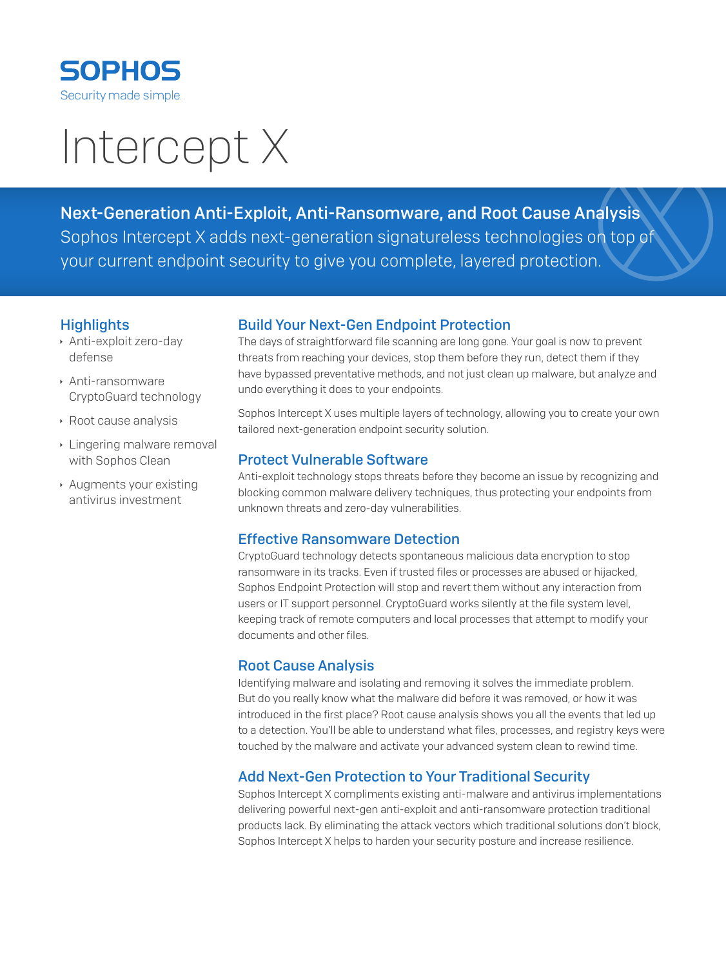

# Intercept X

Next-Generation Anti-Exploit, Anti-Ransomware, and Root Cause Analysis Sophos Intercept X adds next-generation signatureless technologies on top of your current endpoint security to give you complete, layered protection.

#### **Highlights**

- **Anti-exploit zero-day** defense
- **Anti-ransomware** CryptoGuard technology
- ▶ Root cause analysis
- **Eingering malware removal** with Sophos Clean
- $\rightarrow$  Augments your existing antivirus investment

## Build Your Next-Gen Endpoint Protection

The days of straightforward file scanning are long gone. Your goal is now to prevent threats from reaching your devices, stop them before they run, detect them if they have bypassed preventative methods, and not just clean up malware, but analyze and undo everything it does to your endpoints.

Sophos Intercept X uses multiple layers of technology, allowing you to create your own tailored next-generation endpoint security solution.

#### Protect Vulnerable Software

Anti-exploit technology stops threats before they become an issue by recognizing and blocking common malware delivery techniques, thus protecting your endpoints from unknown threats and zero-day vulnerabilities.

## Effective Ransomware Detection

CryptoGuard technology detects spontaneous malicious data encryption to stop ransomware in its tracks. Even if trusted files or processes are abused or hijacked, Sophos Endpoint Protection will stop and revert them without any interaction from users or IT support personnel. CryptoGuard works silently at the file system level, keeping track of remote computers and local processes that attempt to modify your documents and other files.

## Root Cause Analysis

Identifying malware and isolating and removing it solves the immediate problem. But do you really know what the malware did before it was removed, or how it was introduced in the first place? Root cause analysis shows you all the events that led up to a detection. You'll be able to understand what files, processes, and registry keys were touched by the malware and activate your advanced system clean to rewind time.

## Add Next-Gen Protection to Your Traditional Security

Sophos Intercept X compliments existing anti-malware and antivirus implementations delivering powerful next-gen anti-exploit and anti-ransomware protection traditional products lack. By eliminating the attack vectors which traditional solutions don't block, Sophos Intercept X helps to harden your security posture and increase resilience.